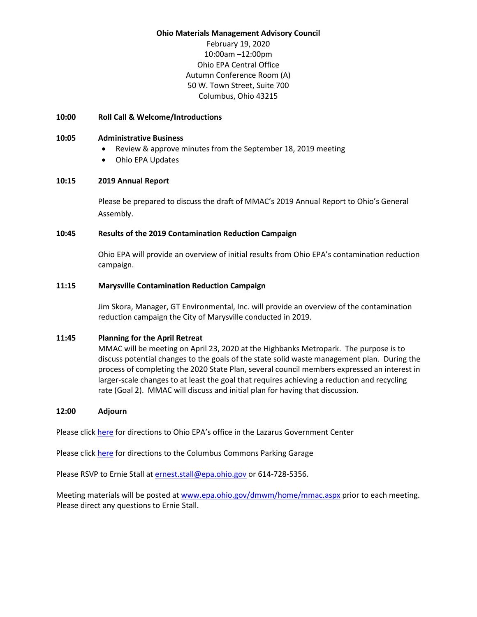### **Ohio Materials Management Advisory Council**

February 19, 2020 10:00am –12:00pm Ohio EPA Central Office Autumn Conference Room (A) 50 W. Town Street, Suite 700 Columbus, Ohio 43215

## **10:00 Roll Call & Welcome/Introductions**

## **10:05 Administrative Business**

- Review & approve minutes from the September 18, 2019 meeting
- Ohio EPA Updates

## **10:15 2019 Annual Report**

Please be prepared to discuss the draft of MMAC's 2019 Annual Report to Ohio's General Assembly.

## **10:45 Results of the 2019 Contamination Reduction Campaign**

Ohio EPA will provide an overview of initial results from Ohio EPA's contamination reduction campaign.

# **11:15 Marysville Contamination Reduction Campaign**

Jim Skora, Manager, GT Environmental, Inc. will provide an overview of the contamination reduction campaign the City of Marysville conducted in 2019.

## **11:45 Planning for the April Retreat**

MMAC will be meeting on April 23, 2020 at the Highbanks Metropark. The purpose is to discuss potential changes to the goals of the state solid waste management plan. During the process of completing the 2020 State Plan, several council members expressed an interest in larger-scale changes to at least the goal that requires achieving a reduction and recycling rate (Goal 2). MMAC will discuss and initial plan for having that discussion.

## **12:00 Adjourn**

Please click [here](https://www.google.com/maps/place/50+W+Town+St,+Columbus,+OH+43215/@39.9591091,-83.00325,17z/data=!3m1!4b1!4m5!3m4!1s0x88388f36dc7272f3:0x56c0eb5f0335df7b!8m2!3d39.9591091!4d-83.0010613?hl=en) for directions to Ohio EPA's office in the Lazarus Government Center

Please click [here](https://www.google.com/maps/place/Columbus+Commons+Parking+Garages/@39.9584123,-83.0001231,17z/data=!3m1!4b1!4m5!3m4!1s0x88388f341839aec9:0xd280a625468d0b3!8m2!3d39.9584082!4d-82.9979344) for directions to the Columbus Commons Parking Garage

Please RSVP to Ernie Stall at [ernest.stall@epa.ohio.gov](mailto:ernest.stall@epa.ohio.gov) or 614-728-5356.

Meeting materials will be posted a[t www.epa.ohio.gov/dmwm/home/mmac.aspx](http://www.epa.ohio.gov/dmwm/home/mmac.aspx) prior to each meeting. Please direct any questions to Ernie Stall.